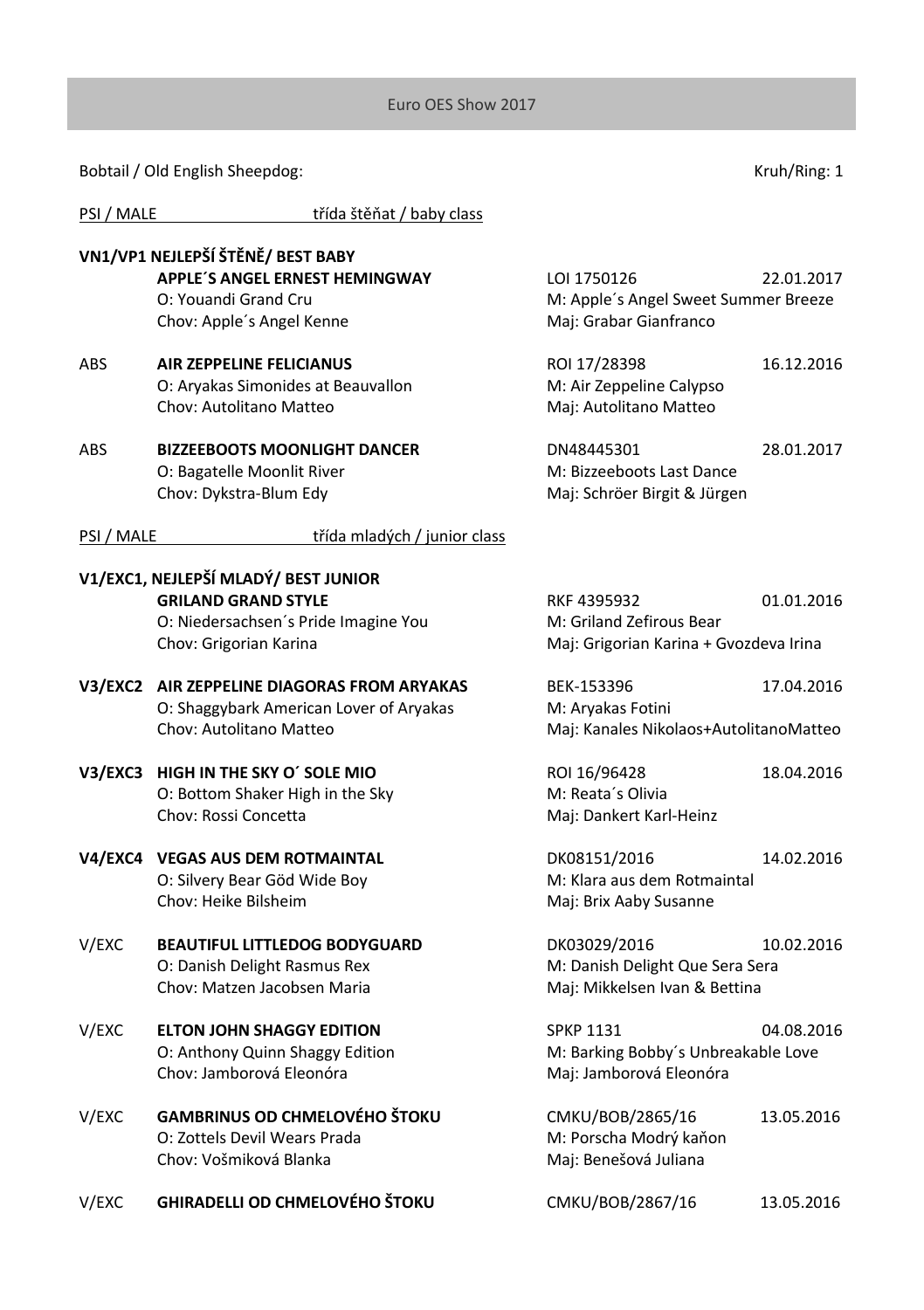Bobtail / Old English Sheepdog: Van Anti-

PSI / MALE třída štěňat / baby class

|            | VN1/VP1 NEJLEPŠÍ ŠTĚNĚ/ BEST BABY                                                                                                    |                                                                                    |            |
|------------|--------------------------------------------------------------------------------------------------------------------------------------|------------------------------------------------------------------------------------|------------|
|            | <b>APPLE'S ANGEL ERNEST HEMINGWAY</b><br>O: Youandi Grand Cru<br>Chov: Apple's Angel Kenne                                           | LOI 1750126<br>M: Apple's Angel Sweet Summer Breeze<br>Maj: Grabar Gianfranco      | 22.01.2017 |
| ABS        | AIR ZEPPELINE FELICIANUS<br>O: Aryakas Simonides at Beauvallon<br>Chov: Autolitano Matteo                                            | ROI 17/28398<br>M: Air Zeppeline Calypso<br>Maj: Autolitano Matteo                 | 16.12.2016 |
| <b>ABS</b> | <b>BIZZEEBOOTS MOONLIGHT DANCER</b><br>O: Bagatelle Moonlit River<br>Chov: Dykstra-Blum Edy                                          | DN48445301<br>M: Bizzeeboots Last Dance<br>Maj: Schröer Birgit & Jürgen            | 28.01.2017 |
| PSI / MALE | třída mladých / junior class                                                                                                         |                                                                                    |            |
|            | V1/EXC1, NEJLEPŠÍ MLADÝ/ BEST JUNIOR<br><b>GRILAND GRAND STYLE</b><br>O: Niedersachsen's Pride Imagine You<br>Chov: Grigorian Karina | RKF 4395932<br>M: Griland Zefirous Bear<br>Maj: Grigorian Karina + Gvozdeva Irina  | 01.01.2016 |
|            | V3/EXC2 AIR ZEPPELINE DIAGORAS FROM ARYAKAS<br>O: Shaggybark American Lover of Aryakas<br>Chov: Autolitano Matteo                    | BEK-153396<br>M: Aryakas Fotini<br>Maj: Kanales Nikolaos+AutolitanoMatteo          | 17.04.2016 |
|            | V3/EXC3 HIGH IN THE SKY O' SOLE MIO<br>O: Bottom Shaker High in the Sky<br>Chov: Rossi Concetta                                      | ROI 16/96428<br>M: Reata's Olivia<br>Maj: Dankert Karl-Heinz                       | 18.04.2016 |
|            | V4/EXC4 VEGAS AUS DEM ROTMAINTAL<br>O: Silvery Bear Göd Wide Boy<br>Chov: Heike Bilsheim                                             | DK08151/2016<br>M: Klara aus dem Rotmaintal<br>Maj: Brix Aaby Susanne              | 14.02.2016 |
| V/EXC      | <b>BEAUTIFUL LITTLEDOG BODYGUARD</b><br>O: Danish Delight Rasmus Rex<br>Chov: Matzen Jacobsen Maria                                  | DK03029/2016<br>M: Danish Delight Que Sera Sera<br>Maj: Mikkelsen Ivan & Bettina   | 10.02.2016 |
| V/EXC      | <b>ELTON JOHN SHAGGY EDITION</b><br>O: Anthony Quinn Shaggy Edition<br>Chov: Jamborová Eleonóra                                      | <b>SPKP 1131</b><br>M: Barking Bobby's Unbreakable Love<br>Maj: Jamborová Eleonóra | 04.08.2016 |
| V/EXC      | GAMBRINUS OD CHMELOVÉHO ŠTOKU<br>O: Zottels Devil Wears Prada<br>Chov: Vošmiková Blanka                                              | CMKU/BOB/2865/16<br>M: Porscha Modrý kaňon<br>Maj: Benešová Juliana                | 13.05.2016 |
| V/EXC      | <b>GHIRADELLI OD CHMELOVÉHO ŠTOKU</b>                                                                                                | CMKU/BOB/2867/16                                                                   | 13.05.2016 |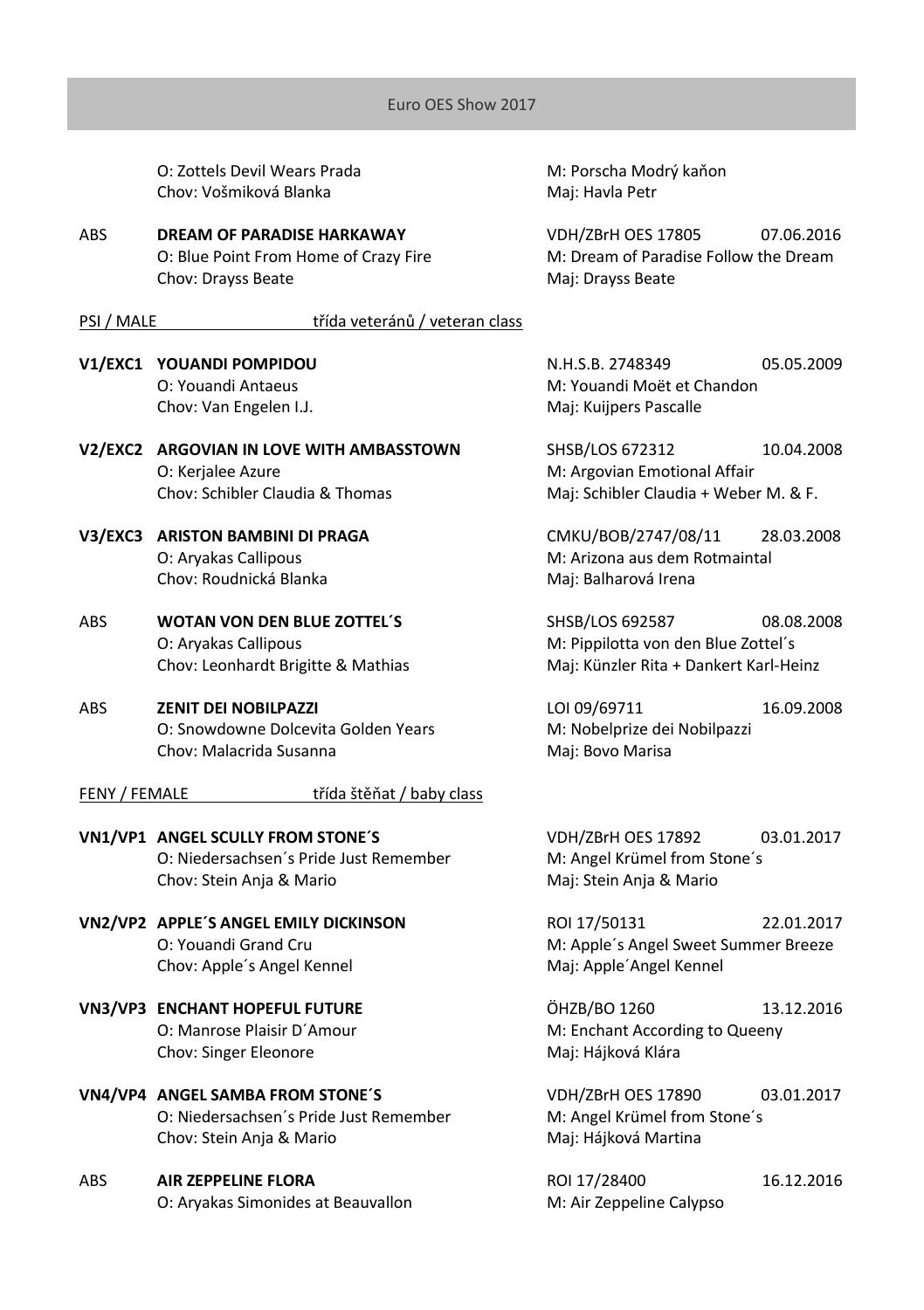O: Zottels Devil Wears Prada M: Porscha Modrý kaňon Chov: Vošmiková Blanka Maj: Havla Petr

ABS **DREAM OF PARADISE HARKAWAY** VDH/ZBrH OES 17805 07.06.2016 Chov: Drayss Beate Maj: Drayss Beate

## PSI / MALE třída veteránů / veteran class

- Chov: Van Engelen I.J. Maj: Kuijpers Pascalle
- **V2/FXC2 ARGOVIAN IN LOVE WITH AMBASSTOWN SHSB/LOS 672312 10.04.2008** O: Kerjalee Azure M: Argovian Emotional Affair Chov: Schibler Claudia & Thomas Maj: Schibler Claudia + Weber M. & F.
- Chov: Roudnická Blanka Maj: Balharová Irena
- ABS **WOTAN VON DEN BLUE ZOTTEL´S** SHSB/LOS 692587 08.08.2008 O: Aryakas Callipous **M: Pippilotta von den Blue Zottel**'s
- ABS **ZENIT DEI NOBILPAZZI** LOI 09/69711 16.09.2008 O: Snowdowne Dolcevita Golden Years M: Nobelprize dei Nobilpazzi Chov: Malacrida Susanna Mai: Bovo Marisa

#### FENY / FEMALE třída štěňat / baby class

**VN1/VP1 ANGEL SCULLY FROM STONE´S** VDH/ZBrH OES 17892 03.01.2017 O: Niedersachsen's Pride Just Remember M: Angel Krümel from Stone's Chov: Stein Anja & Mario **Maj: Stein Anja & Mario** Maj: Stein Anja & Mario

- **VN2/VP2 APPLE´S ANGEL EMILY DICKINSON** ROI 17/50131 22.01.2017 Chov: Apple's Angel Kennel Maj: Apple' Angel Kennel
- **VN3/VP3 ENCHANT HOPEFUL FUTURE** ÖHZB/BO 1260 13.12.2016 Chov: Singer Eleonore Maj: Hájková Klára
- **VN4/VP4 ANGEL SAMBA FROM STONE´S** VDH/ZBrH OES 17890 03.01.2017 O: Niedersachsen´s Pride Just Remember M: Angel Krümel from Stone´s Chov: Stein Anja & Mario **Manuel And Anglic And Anglic Martina**

ABS **AIR ZEPPELINE FLORA** ROI 17/28400 16.12.2016 O: Aryakas Simonides at Beauvallon M: Air Zeppeline Calypso

O: Blue Point From Home of Crazy Fire M: Dream of Paradise Follow the Dream

**V1/EXC1 YOUANDI POMPIDOU** N.H.S.B. 2748349 05.05.2009 O: Youandi Antaeus M: Youandi Moët et Chandon

**V3/EXC3 ARISTON BAMBINI DI PRAGA** CMKU/BOB/2747/08/11 28.03.2008 O: Aryakas Callipous and a metal metal metal M: Arizona aus dem Rotmaintal

Chov: Leonhardt Brigitte & Mathias Maj: Künzler Rita + Dankert Karl-Heinz

O: Youandi Grand Cru M: Apple´s Angel Sweet Summer Breeze

O: Manrose Plaisir D'Amour M: Enchant According to Queeny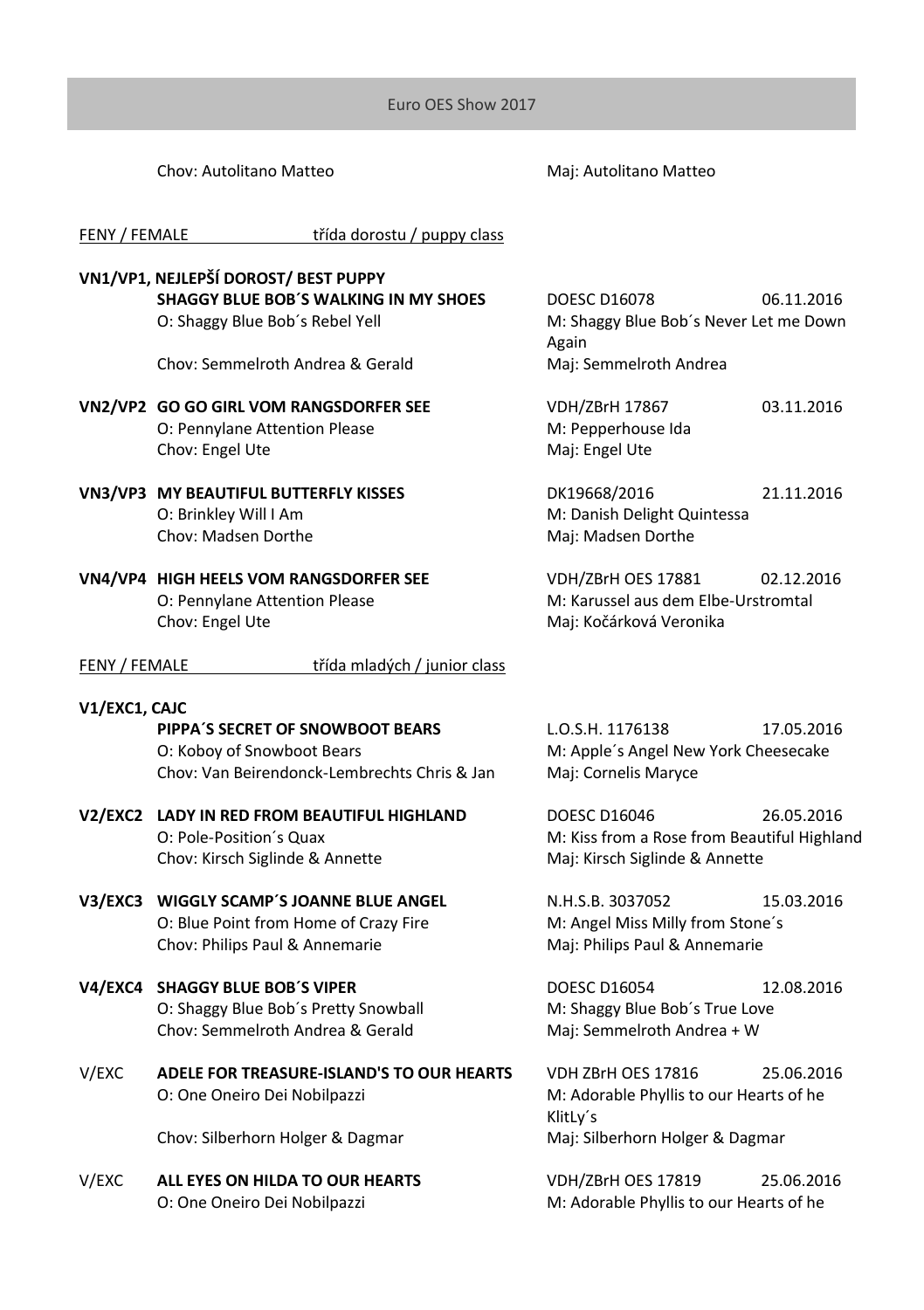Chov: Autolitano Matteo **Manuel Autor Chov: Autolitano Matteo** 

FENY / FEMALE třída dorostu / puppy class

## **VN1/VP1, NEJLEPŠÍ DOROST/ BEST PUPPY**

**SHAGGY BLUE BOB´S WALKING IN MY SHOES** DOESC D16078 06.11.2016 O: Shaggy Blue Bob's Rebel Yell M: Shaggy Blue Bob's Never Let me Down Again Chov: Semmelroth Andrea & Gerald Maj: Semmelroth Andrea **VN2/VP2 GO GO GIRL VOM RANGSDORFER SEE** VDH/ZBrH 17867 03.11.2016 O: Pennylane Attention Please Michael M: Pepperhouse Ida Chov: Engel Ute Maj: Engel Ute **VN3/VP3 MY BEAUTIFUL BUTTERFLY KISSES** DK19668/2016 21.11.2016 O: Brinkley Will I Am M: Danish Delight Quintessa Chov: Madsen Dorthe Maj: Mai: Madsen Dorthe

**VN4/VP4 HIGH HEELS VOM RANGSDORFER SEE** VDH/ZBrH OES 17881 02.12.2016 O: Pennylane Attention Please M: Karussel aus dem Elbe-Urstromtal Chov: Engel Ute Maj: Kočárková Veronika

| třída mladých / junior class |
|------------------------------|
|------------------------------|

**V1/EXC1, CAJC PIPPA'S SECRET OF SNOWBOOT BEARS LO.S.H. 1176138 17.05.2016** O: Koboy of Snowboot Bears M: Apple's Angel New York Cheesecake Chov: Van Beirendonck-Lembrechts Chris & Jan Maj: Cornelis Maryce

## **V2/EXC2 LADY IN RED FROM BEAUTIFUL HIGHLAND** DOESC D16046 26.05.2016 O: Pole-Position´s Quax M: Kiss from a Rose from Beautiful Highland Chov: Kirsch Siglinde & Annette Maj: Kirsch Siglinde & Annette

**V3/EXC3 WIGGLY SCAMP´S JOANNE BLUE ANGEL** N.H.S.B. 3037052 15.03.2016 O: Blue Point from Home of Crazy Fire M: Angel Miss Milly from Stone's Chov: Philips Paul & Annemarie Maj: Philips Paul & Annemarie

## **V4/EXC4 SHAGGY BLUE BOB'S VIPER** DOESC D16054 12.08.2016 O: Shaggy Blue Bob´s Pretty Snowball M: Shaggy Blue Bob´s True Love Chov: Semmelroth Andrea & Gerald Maj: Semmelroth Andrea + W

V/EXC **ADELE FOR TREASURE-ISLAND'S TO OUR HEARTS** VDH ZBrH OES 17816 25.06.2016 O: One Oneiro Dei Nobilpazzi M: Adorable Phyllis to our Hearts of he

Chov: Silberhorn Holger & Dagmar Maj: Silberhorn Holger & Dagmar

V/EXC **ALL EYES ON HILDA TO OUR HEARTS** VDH/ZBrH OES 17819 25.06.2016

KlitLy´s

O: One Oneiro Dei Nobilpazzi M: Adorable Phyllis to our Hearts of he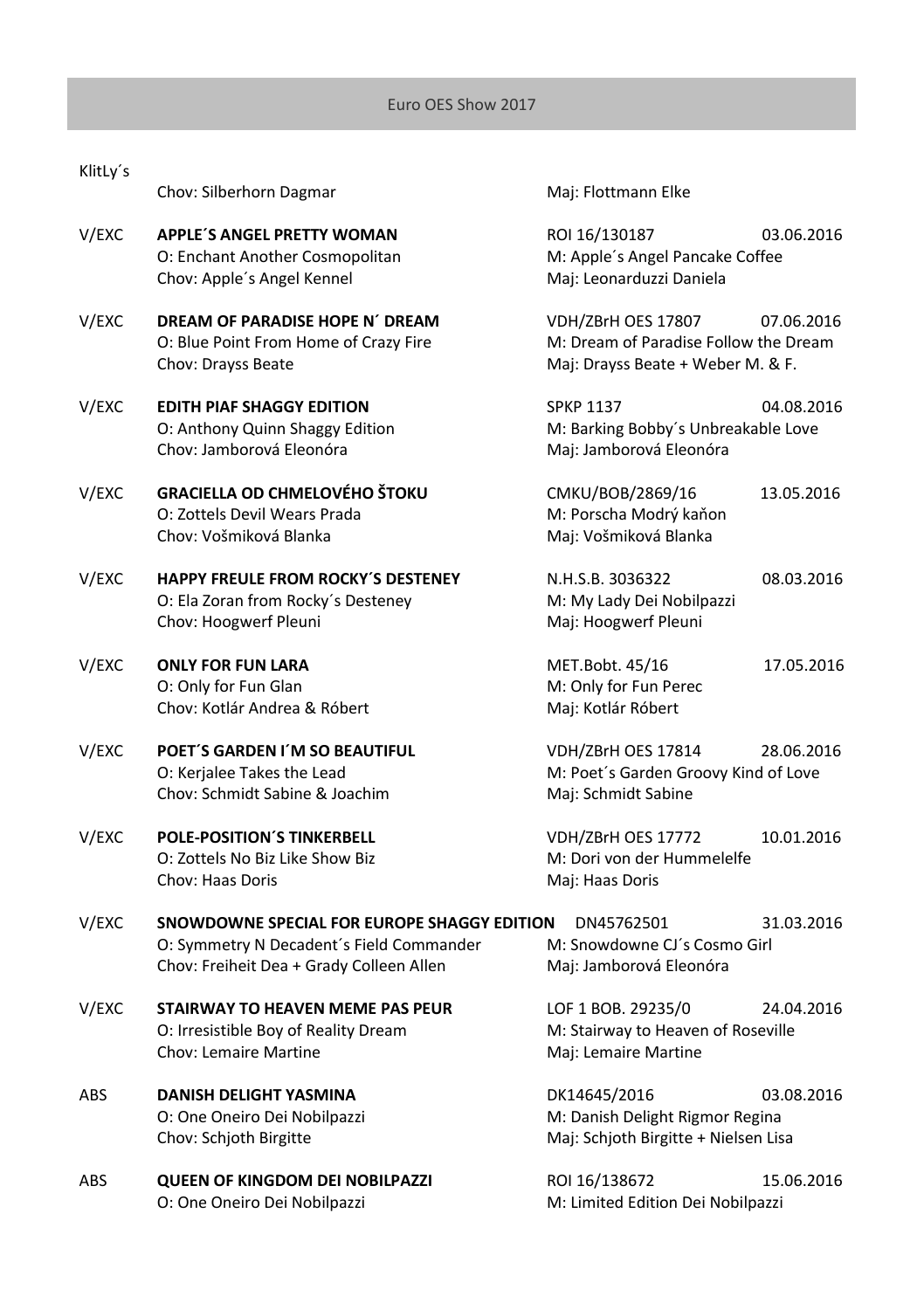|            | CHUY. JINGHIOHI DUGHIUI                                                                                                             |                                                                                                  |            |
|------------|-------------------------------------------------------------------------------------------------------------------------------------|--------------------------------------------------------------------------------------------------|------------|
| V/EXC      | <b>APPLE'S ANGEL PRETTY WOMAN</b><br>O: Enchant Another Cosmopolitan<br>Chov: Apple's Angel Kennel                                  | ROI 16/130187<br>M: Apple's Angel Pancake Coffee<br>Maj: Leonarduzzi Daniela                     | 03.06.2016 |
| V/EXC      | DREAM OF PARADISE HOPE N' DREAM<br>O: Blue Point From Home of Crazy Fire<br>Chov: Drayss Beate                                      | VDH/ZBrH OES 17807<br>M: Dream of Paradise Follow the Dream<br>Maj: Drayss Beate + Weber M. & F. | 07.06.2016 |
| V/EXC      | <b>EDITH PIAF SHAGGY EDITION</b><br>O: Anthony Quinn Shaggy Edition<br>Chov: Jamborová Eleonóra                                     | <b>SPKP 1137</b><br>M: Barking Bobby's Unbreakable Love<br>Maj: Jamborová Eleonóra               | 04.08.2016 |
| V/EXC      | <b>GRACIELLA OD CHMELOVÉHO ŠTOKU</b><br>O: Zottels Devil Wears Prada<br>Chov: Vošmiková Blanka                                      | CMKU/BOB/2869/16<br>M: Porscha Modrý kaňon<br>Maj: Vošmiková Blanka                              | 13.05.2016 |
| V/EXC      | HAPPY FREULE FROM ROCKY'S DESTENEY<br>O: Ela Zoran from Rocky's Desteney<br>Chov: Hoogwerf Pleuni                                   | N.H.S.B. 3036322<br>M: My Lady Dei Nobilpazzi<br>Maj: Hoogwerf Pleuni                            | 08.03.2016 |
| V/EXC      | <b>ONLY FOR FUN LARA</b><br>O: Only for Fun Glan<br>Chov: Kotlár Andrea & Róbert                                                    | MET.Bobt. 45/16<br>M: Only for Fun Perec<br>Maj: Kotlár Róbert                                   | 17.05.2016 |
| V/EXC      | POET'S GARDEN I'M SO BEAUTIFUL<br>O: Kerjalee Takes the Lead<br>Chov: Schmidt Sabine & Joachim                                      | VDH/ZBrH OES 17814<br>M: Poet's Garden Groovy Kind of Love<br>Maj: Schmidt Sabine                | 28.06.2016 |
| V/EXC      | <b>POLE-POSITION'S TINKERBELL</b><br>O: Zottels No Biz Like Show Biz<br>Chov: Haas Doris                                            | VDH/ZBrH OES 17772<br>M: Dori von der Hummelelfe<br>Maj: Haas Doris                              | 10.01.2016 |
| V/EXC      | SNOWDOWNE SPECIAL FOR EUROPE SHAGGY EDITION<br>O: Symmetry N Decadent's Field Commander<br>Chov: Freiheit Dea + Grady Colleen Allen | DN45762501<br>M: Snowdowne CJ's Cosmo Girl<br>Maj: Jamborová Eleonóra                            | 31.03.2016 |
| V/EXC      | STAIRWAY TO HEAVEN MEME PAS PEUR<br>O: Irresistible Boy of Reality Dream<br>Chov: Lemaire Martine                                   | LOF 1 BOB. 29235/0<br>M: Stairway to Heaven of Roseville<br>Maj: Lemaire Martine                 | 24.04.2016 |
| ABS        | DANISH DELIGHT YASMINA<br>O: One Oneiro Dei Nobilpazzi<br>Chov: Schjoth Birgitte                                                    | DK14645/2016<br>M: Danish Delight Rigmor Regina<br>Maj: Schjoth Birgitte + Nielsen Lisa          | 03.08.2016 |
| <b>ADC</b> | OUEEN OF KINGDOM DEL NORU DAZZI                                                                                                     | $D$ $D$ $I$ $I$ $C$ $I$ $I$ $D$ $O$ $C$ $T$ $D$                                                  | 15000000   |

KlitLy´s

Chov: Silberhorn Dagmar Maj: Flottmann Elke

ABS **QUEEN OF KINGDOM DEI NOBILPAZZI** ROI 16/138672 15.06.2016 O: One Oneiro Dei Nobilpazzi M: Limited Edition Dei Nobilpazzi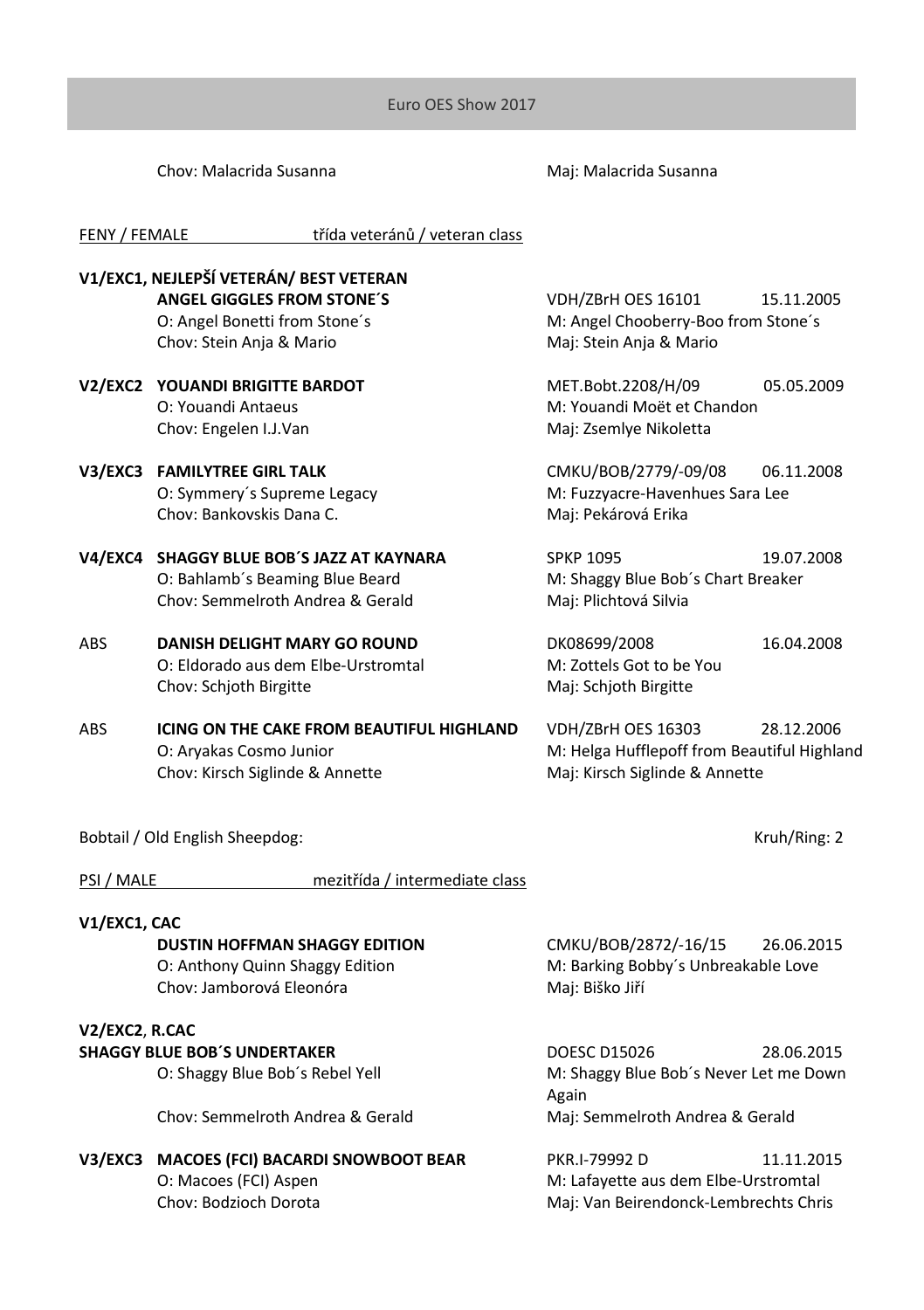Chov: Malacrida Susanna Maj: Malacrida Susanna

FENY / FEMALE třída veteránů / veteran class

## **V1/EXC1, NEJLEPŠÍ VETERÁN/ BEST VETERAN ANGEL GIGGLES FROM STONE´S** VDH/ZBrH OES 16101 15.11.2005 O: Angel Bonetti from Stone's M: Angel Chooberry-Boo from Stone's Chov: Stein Anja & Mario **Maj: Stein Anja & Mario** Maj: Stein Anja & Mario **V2/EXC2 YOUANDI BRIGITTE BARDOT** MET.Bobt.2208/H/09 05.05.2009 O: Youandi Antaeus M: Youandi Moët et Chandon Chov: Engelen I.J.Van Maj: Zsemlye Nikoletta **V3/EXC3 FAMILYTREE GIRL TALK** CMKU/BOB/2779/-09/08 06.11.2008 O: Symmery's Supreme Legacy entitled and M: Fuzzyacre-Havenhues Sara Lee Chov: Bankovskis Dana C. Maj: Pekárová Erika **V4/EXC4 SHAGGY BLUE BOB´S JAZZ AT KAYNARA** SPKP 1095 19.07.2008 O: Bahlamb´s Beaming Blue Beard M: Shaggy Blue Bob´s Chart Breaker Chov: Semmelroth Andrea & Gerald Maj: Plichtová Silvia

- ABS **DANISH DELIGHT MARY GO ROUND** DK08699/2008 16.04.2008 O: Eldorado aus dem Elbe-Urstromtal M: Zottels Got to be You Chov: Schjoth Birgitte Maj: Schjoth Birgitte
- ABS **ICING ON THE CAKE FROM BEAUTIFUL HIGHLAND** VDH/ZBrH OES 16303 28.12.2006 O: Aryakas Cosmo Junior M: Helga Hufflepoff from Beautiful Highland Chov: Kirsch Siglinde & Annette Maj: Kirsch Siglinde & Annette

Bobtail / Old English Sheepdog: North Shareholds and Shareholds and Shareholds and Shareholds and Shareholds and Shareholds and Shareholds and Shareholds and Shareholds and Shareholds and Shareholds and Shareholds and Shar

PSI / MALE mezitřída / intermediate class

## **V1/EXC1, CAC**

## **V2/EXC2**, **R.CAC**

Chov: Semmelroth Andrea & Gerald Maj: Semmelroth Andrea & Gerald

## **V3/EXC3 MACOES (FCI) BACARDI SNOWBOOT BEAR** PKR.I-79992 D 11.11.2015 O: Macoes (FCI) Aspen and the second method of M: Lafayette aus dem Elbe-Urstromtal<br>
Mai: Van Beirendonck-Lembrechts Christ

**DUSTIN HOFFMAN SHAGGY EDITION** CMKU/BOB/2872/-16/15 26.06.2015 O: Anthony Quinn Shaggy Edition M: Barking Bobby's Unbreakable Love Chov: Jamborová Eleonóra Maj: Biško Jiří

**SHAGGY BLUE BOB'S UNDERTAKER** DOESC D15026 28.06.2015 O: Shaggy Blue Bob's Rebel Yell M: Shaggy Blue Bob's Never Let me Down Again

Maj: Van Beirendonck-Lembrechts Chris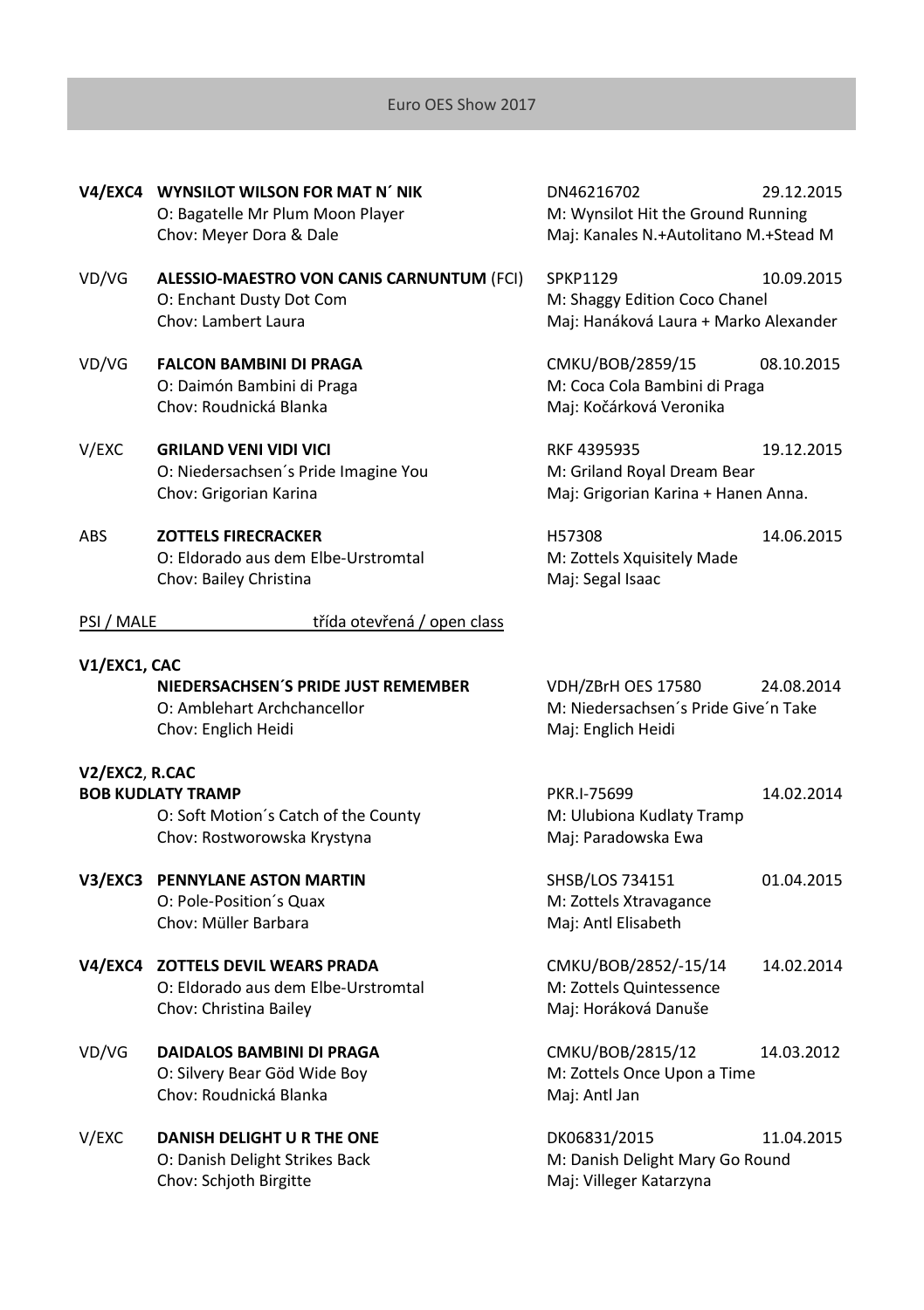|                | V4/EXC4 WYNSILOT WILSON FOR MAT N' NIK<br>O: Bagatelle Mr Plum Moon Player<br>Chov: Meyer Dora & Dale | DN46216702<br>M: Wynsilot Hit the Ground Running<br>Maj: Kanales N.+Autolitano M.+Stead M | 29.12.2015 |
|----------------|-------------------------------------------------------------------------------------------------------|-------------------------------------------------------------------------------------------|------------|
| VD/VG          | ALESSIO-MAESTRO VON CANIS CARNUNTUM (FCI)<br>O: Enchant Dusty Dot Com<br>Chov: Lambert Laura          | <b>SPKP1129</b><br>M: Shaggy Edition Coco Chanel<br>Maj: Hanáková Laura + Marko Alexander | 10.09.2015 |
| VD/VG          | <b>FALCON BAMBINI DI PRAGA</b><br>O: Daimón Bambini di Praga<br>Chov: Roudnická Blanka                | CMKU/BOB/2859/15<br>M: Coca Cola Bambini di Praga<br>Maj: Kočárková Veronika              | 08.10.2015 |
| V/EXC          | <b>GRILAND VENI VIDI VICI</b><br>O: Niedersachsen's Pride Imagine You<br>Chov: Grigorian Karina       | RKF 4395935<br>M: Griland Royal Dream Bear<br>Maj: Grigorian Karina + Hanen Anna.         | 19.12.2015 |
| <b>ABS</b>     | <b>ZOTTELS FIRECRACKER</b><br>O: Eldorado aus dem Elbe-Urstromtal<br>Chov: Bailey Christina           | H57308<br>M: Zottels Xquisitely Made<br>Maj: Segal Isaac                                  | 14.06.2015 |
| PSI / MALE     | třída otevřená / open class                                                                           |                                                                                           |            |
| V1/EXC1, CAC   |                                                                                                       |                                                                                           |            |
|                | NIEDERSACHSEN'S PRIDE JUST REMEMBER<br>O: Amblehart Archchancellor<br>Chov: Englich Heidi             | VDH/ZBrH OES 17580<br>M: Niedersachsen's Pride Give'n Take<br>Maj: Englich Heidi          | 24.08.2014 |
| V2/EXC2, R.CAC |                                                                                                       |                                                                                           |            |
|                | <b>BOB KUDLATY TRAMP</b>                                                                              | PKR.I-75699                                                                               | 14.02.2014 |
|                | O: Soft Motion's Catch of the County<br>Chov: Rostworowska Krystyna                                   | M: Ulubiona Kudlaty Tramp<br>Maj: Paradowska Ewa                                          |            |
|                | V3/EXC3 PENNYLANE ASTON MARTIN<br>O: Pole-Position's Quax<br>Chov: Müller Barbara                     | SHSB/LOS 734151<br>M: Zottels Xtravagance<br>Maj: Antl Elisabeth                          | 01.04.2015 |
|                | V4/EXC4 ZOTTELS DEVIL WEARS PRADA<br>O: Eldorado aus dem Elbe-Urstromtal<br>Chov: Christina Bailey    | CMKU/BOB/2852/-15/14<br>M: Zottels Quintessence<br>Maj: Horáková Danuše                   | 14.02.2014 |
| VD/VG          | DAIDALOS BAMBINI DI PRAGA<br>O: Silvery Bear Göd Wide Boy<br>Chov: Roudnická Blanka                   | CMKU/BOB/2815/12<br>M: Zottels Once Upon a Time<br>Maj: Antl Jan                          | 14.03.2012 |
| V/EXC          | DANISH DELIGHT U R THE ONE<br>O: Danish Delight Strikes Back<br>Chov: Schjoth Birgitte                | DK06831/2015<br>M: Danish Delight Mary Go Round<br>Maj: Villeger Katarzyna                | 11.04.2015 |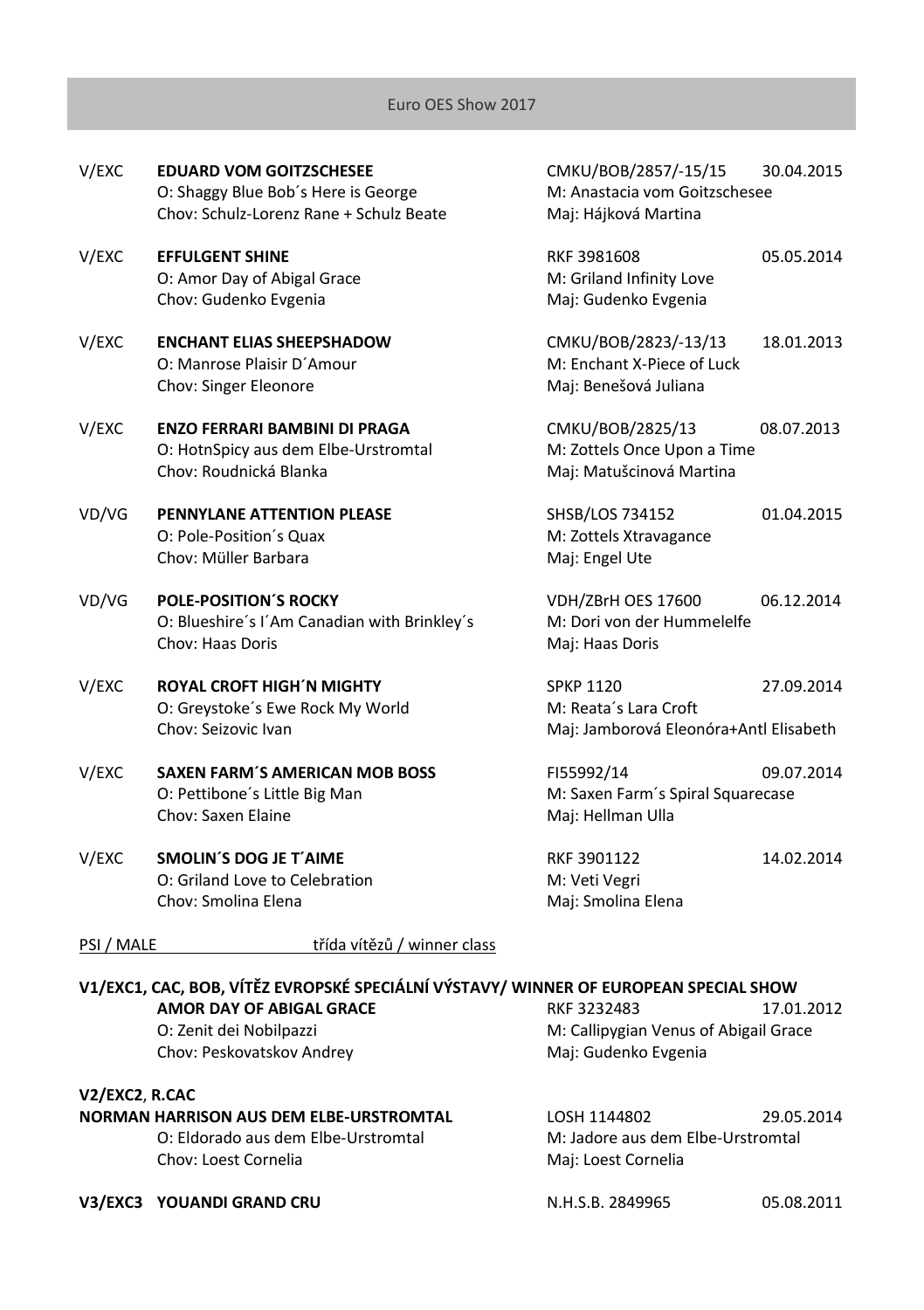| V/EXC      | <b>EDUARD VOM GOITZSCHESEE</b><br>O: Shaggy Blue Bob's Here is George<br>Chov: Schulz-Lorenz Rane + Schulz Beate | CMKU/BOB/2857/-15/15<br>M: Anastacia vom Goitzschesee<br>Maj: Hájková Martina       | 30.04.2015 |
|------------|------------------------------------------------------------------------------------------------------------------|-------------------------------------------------------------------------------------|------------|
| V/EXC      | <b>EFFULGENT SHINE</b><br>O: Amor Day of Abigal Grace<br>Chov: Gudenko Evgenia                                   | RKF 3981608<br>M: Griland Infinity Love<br>Maj: Gudenko Evgenia                     | 05.05.2014 |
| V/EXC      | <b>ENCHANT ELIAS SHEEPSHADOW</b><br>O: Manrose Plaisir D'Amour<br>Chov: Singer Eleonore                          | CMKU/BOB/2823/-13/13<br>M: Enchant X-Piece of Luck<br>Maj: Benešová Juliana         | 18.01.2013 |
| V/EXC      | <b>ENZO FERRARI BAMBINI DI PRAGA</b><br>O: HotnSpicy aus dem Elbe-Urstromtal<br>Chov: Roudnická Blanka           | CMKU/BOB/2825/13<br>M: Zottels Once Upon a Time<br>Maj: Matušcinová Martina         | 08.07.2013 |
| VD/VG      | PENNYLANE ATTENTION PLEASE<br>O: Pole-Position's Quax<br>Chov: Müller Barbara                                    | SHSB/LOS 734152<br>M: Zottels Xtravagance<br>Maj: Engel Ute                         | 01.04.2015 |
| VD/VG      | <b>POLE-POSITION'S ROCKY</b><br>O: Blueshire's I'Am Canadian with Brinkley's<br><b>Chov: Haas Doris</b>          | VDH/ZBrH OES 17600<br>M: Dori von der Hummelelfe<br>Maj: Haas Doris                 | 06.12.2014 |
| V/EXC      | <b>ROYAL CROFT HIGH'N MIGHTY</b><br>O: Greystoke's Ewe Rock My World<br>Chov: Seizovic Ivan                      | <b>SPKP 1120</b><br>M: Reata's Lara Croft<br>Maj: Jamborová Eleonóra+Antl Elisabeth | 27.09.2014 |
| V/EXC      | <b>SAXEN FARM'S AMERICAN MOB BOSS</b><br>O: Pettibone's Little Big Man<br>Chov: Saxen Elaine                     | FI55992/14<br>M: Saxen Farm's Spiral Squarecase<br>Maj: Hellman Ulla                | 09.07.2014 |
| V/EXC      | <b>SMOLIN'S DOG JE T'AIME</b><br>O: Griland Love to Celebration<br>Chov: Smolina Elena                           | RKF 3901122<br>M: Veti Vegri<br>Maj: Smolina Elena                                  | 14.02.2014 |
| PSI / MALE | třída vítězů / winner class                                                                                      |                                                                                     |            |
|            | V1/EXC1, CAC, BOB, VÍTĚZ EVROPSKÉ SPECIÁLNÍ VÝSTAVY/ WINNER OF EUROPEAN SPECIAL SHOW                             |                                                                                     |            |
|            | <b>AMOR DAY OF ABIGAL GRACE</b>                                                                                  | RKF 3232483                                                                         | 17.01.2012 |
|            | O: Zenit dei Nobilpazzi<br>Chov: Peskovatskov Andrey                                                             | M: Callipygian Venus of Abigail Grace<br>Maj: Gudenko Evgenia                       |            |

| V2/EXC2. R.CAC                                 |         |
|------------------------------------------------|---------|
| <b>NORMAN HARRISON AUS DEM ELBE-URSTROMTAL</b> | LOSH 1  |
| O: Eldorado aus dem Elbe-Urstromtal            | M: Jadc |
| Chov: Loest Cornelia                           | Maj: Lo |

**NORMAN HARRISON AUS DEM ELBE-URSTROMTAL** LOSH 1144802 29.05.2014 lore aus dem Elbe-Urstromtal pest Cornelia

**V3/EXC3 YOUANDI GRAND CRU N.H.S.B. 2849965** 05.08.2011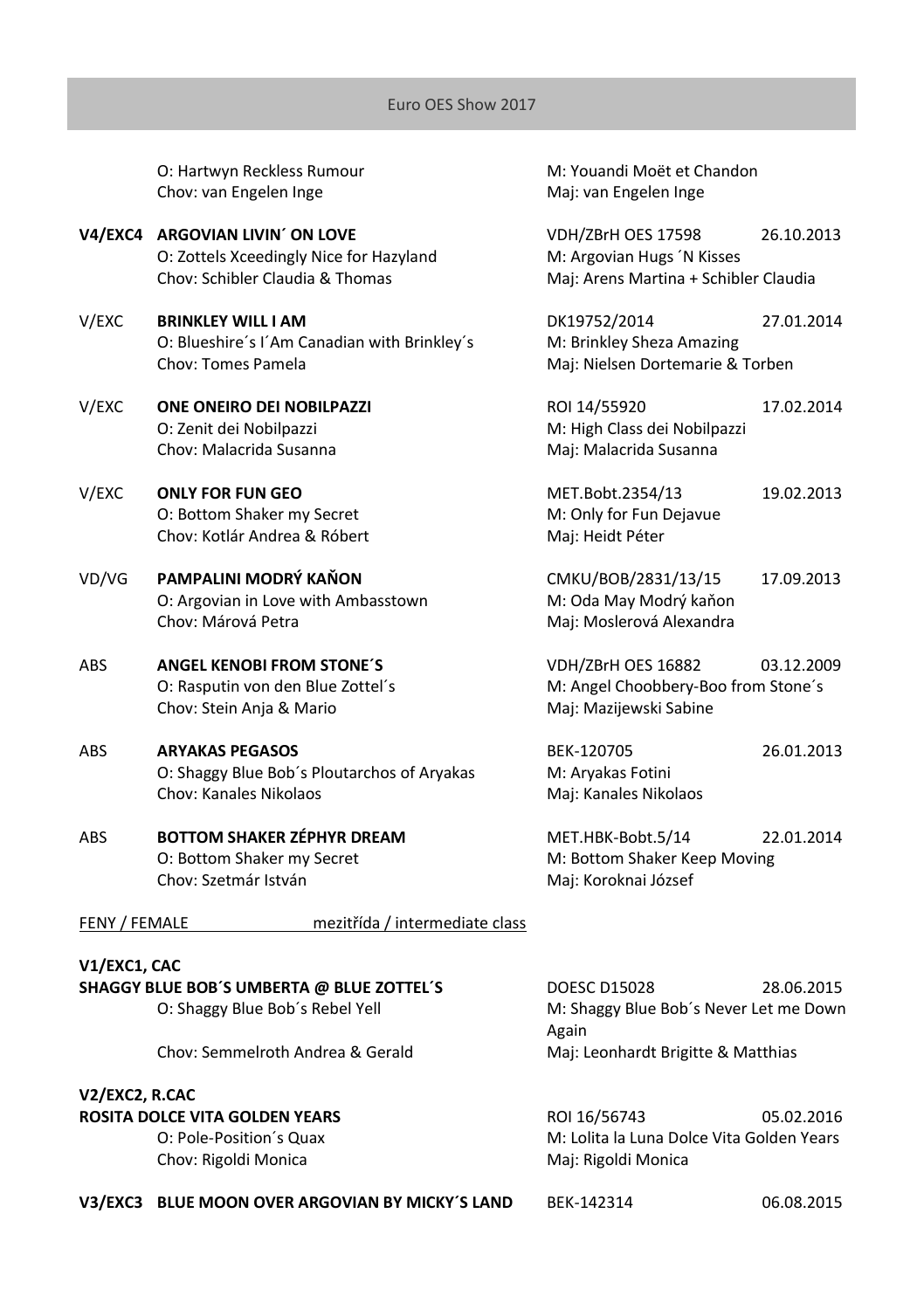O: Hartwyn Reckless Rumour M: Youandi Moët et Chandon Chov: van Engelen Inge Maj: van Engelen Inge

- **V4/EXC4 ARGOVIAN LIVIN´ ON LOVE** VDH/ZBrH OES 17598 26.10.2013 O: Zottels Xceedingly Nice for Hazyland M: Argovian Hugs 'N Kisses Chov: Schibler Claudia & Thomas Maj: Arens Martina + Schibler Claudia
- V/EXC **BRINKLEY WILL I AM** DK19752/2014 27.01.2014 O: Blueshire's I'Am Canadian with Brinkley's M: Brinkley Sheza Amazing Chov: Tomes Pamela **Maging Chov: Tomes Pamela** Maj: Nielsen Dortemarie & Torben
- O: Zenit dei Nobilpazzi M: High Class dei Nobilpazzi Chov: Malacrida Susanna Maji: Malacrida Susanna
- V/EXC **ONLY FOR FUN GEO** MET.Bobt.2354/13 19.02.2013 O: Bottom Shaker my Secret M: Only for Fun Dejayue Chov: Kotlár Andrea & Róbert Maj: Heidt Péter
- VD/VG **PAMPALINI MODRÝ KAŇON** CMKU/BOB/2831/13/15 17.09.2013 O: Argovian in Love with Ambasstown M: Oda May Modrý kaňon Chov: Márová Petra Maj: Moslerová Alexandra
- ABS **ANGEL KENOBI FROM STONE´S** VDH/ZBrH OES 16882 03.12.2009 Chov: Stein Anja & Mario **Maji: Mazijewski Sabine**
- ABS **ARYAKAS PEGASOS** BEK-120705 26.01.2013 O: Shaggy Blue Bob's Ploutarchos of Aryakas M: Aryakas Fotini Chov: Kanales Nikolaos Maj: Kanales Nikolaos
- ABS **BOTTOM SHAKER ZÉPHYR DREAM** MET.HBK-Bobt.5/14 22.01.2014 O: Bottom Shaker my Secret M: Bottom Shaker Keep Moving Chov: Szetmár István Maj: Koroknai József

V/EXC **ONE ONEIRO DEI NOBILPAZZI** ROI 14/55920 17.02.2014

O: Rasputin von den Blue Zottel´s M: Angel Choobbery-Boo from Stone´s

FENY / FEMALE mezitřída / intermediate class

## **V1/EXC1, CAC SHAGGY BLUE BOB´S UMBERTA @ BLUE ZOTTEL´S** DOESC D15028 28.06.2015 O: Shaggy Blue Bob´s Rebel Yell M: Shaggy Blue Bob´s Never Let me Down Again Chov: Semmelroth Andrea & Gerald Maj: Leonhardt Brigitte & Matthias **V2/EXC2, R.CAC ROSITA DOLCE VITA GOLDEN YEARS ROU 16/56743** 05.02.2016

Chov: Rigoldi Monica **Maj: Rigoldi Monica** Maj: Rigoldi Monica

O: Pole-Position´s Quax M: Lolita la Luna Dolce Vita Golden Years

**V3/EXC3 BLUE MOON OVER ARGOVIAN BY MICKY´S LAND** BEK-142314 06.08.2015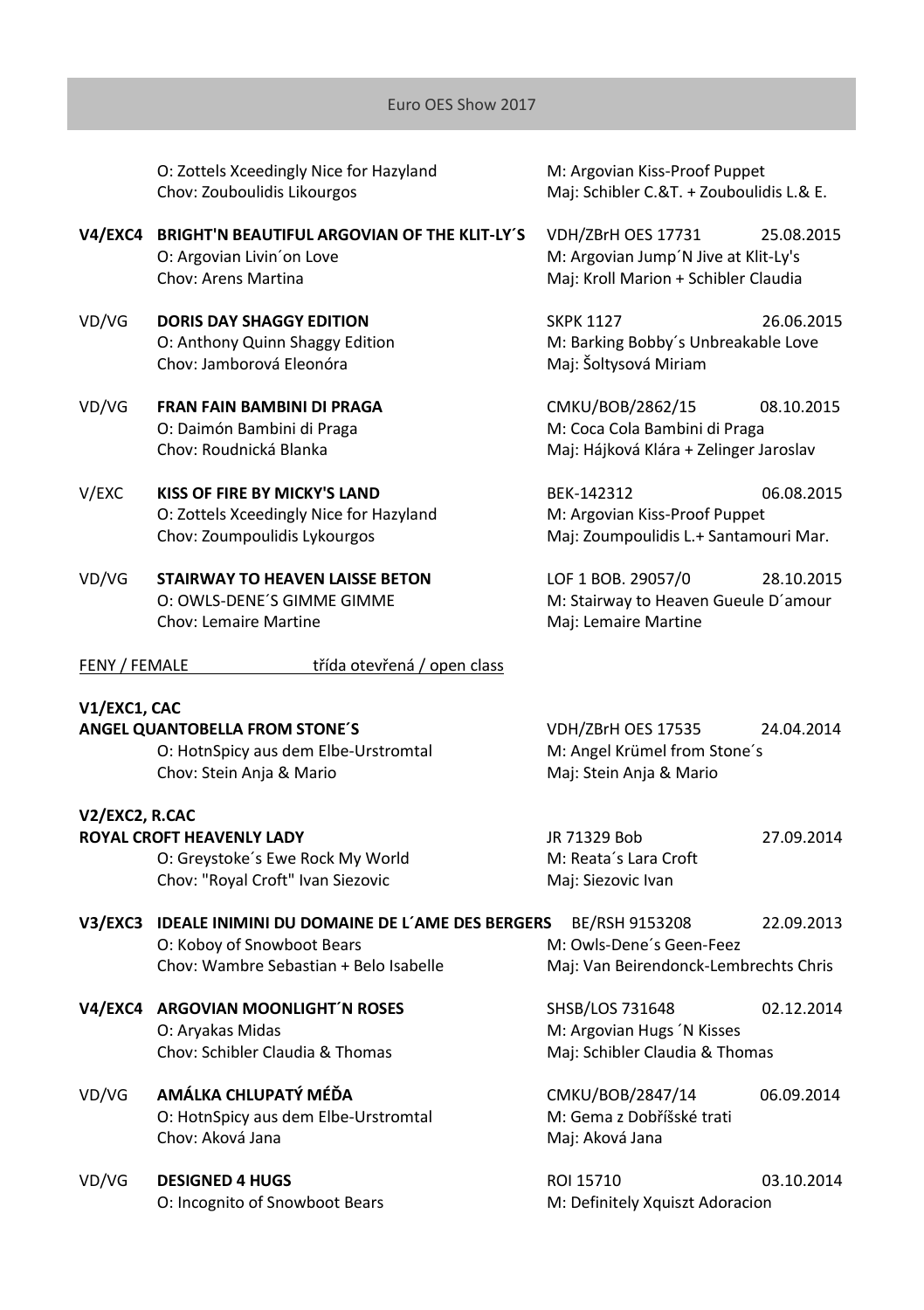O: Zottels Xceedingly Nice for Hazyland M: Argovian Kiss-Proof Puppet Chov: Zouboulidis Likourgos Maj: Schibler C.&T. + Zouboulidis L.& E.

## **V4/EXC4 BRIGHT'N BEAUTIFUL ARGOVIAN OF THE KLIT-LY´S** VDH/ZBrH OES 17731 25.08.2015 O: Argovian Livin'on Love **M: Argovian Jump'N Jive at Klit-Ly's** Chov: Arens Martina Maj: Kroll Marion + Schibler Claudia

- VD/VG **DORIS DAY SHAGGY EDITION** SKPK 1127 26.06.2015 Chov: Jamborová Eleonóra **Maj: Šoltysová Miriam**
- O: Daimón Bambini di Praga M: Coca Cola Bambini di Praga
- V/EXC **KISS OF FIRE BY MICKY'S LAND** BEK-142312 06.08.2015 O: Zottels Xceedingly Nice for Hazyland M: Argovian Kiss-Proof Puppet
- VD/VG **STAIRWAY TO HEAVEN LAISSE BETON** LOF 1 BOB. 29057/0 28.10.2015 Chov: Lemaire Martine **Manual Chov: Lemaire Martine**

O: Anthony Quinn Shaggy Edition M: Barking Bobby's Unbreakable Love

VD/VG **FRAN FAIN BAMBINI DI PRAGA** CMKU/BOB/2862/15 08.10.2015 Chov: Roudnická Blanka Maj: Hájková Klára + Zelinger Jaroslav

Chov: Zoumpoulidis Lykourgos Maj: Zoumpoulidis L.+ Santamouri Mar.

O: OWLS-DENE'S GIMME GIMME MERRY M: Stairway to Heaven Gueule D'amour

| FENY / FEMALE | třída otevřená / open class |  |
|---------------|-----------------------------|--|
|               |                             |  |

## **V1/EXC1, CAC**

**ANGEL QUANTOBELLA FROM STONE´S** VDH/ZBrH OES 17535 24.04.2014 O: HotnSpicy aus dem Elbe-Urstromtal M: Angel Krümel from Stone´s Chov: Stein Anja & Mario **Maj: Stein Anja & Mario** Maj: Stein Anja & Mario

## **V2/EXC2, R.CAC**

**ROYAL CROFT HEAVENLY LADY** JR 71329 Bob 27.09.2014 O: Greystoke's Ewe Rock My World M: Reata's Lara Croft Chov: "Royal Croft" Ivan Siezovic Maj: Siezovic Ivan

- **V3/EXC3 IDEALE INIMINI DU DOMAINE DE L´AME DES BERGERS** BE/RSH 9153208 22.09.2013 O: Koboy of Snowboot Bears M: Owls-Dene´s Geen-Feez Chov: Wambre Sebastian + Belo Isabelle Maj: Van Beirendonck-Lembrechts Chris
	- O: Aryakas Midas **Microsoft Communist Communist Communist Communist Communist Communist Communist Communist Communist Communist Communist Communist Communist Communist Communist Communist Communist Communist Communist Comm** Chov: Schibler Claudia & Thomas Mai: Schibler Claudia & Thomas

## VD/VG **AMÁLKA CHLUPATÝ MÉĎA** CMKU/BOB/2847/14 06.09.2014 O: HotnSpicy aus dem Elbe-Urstromtal M: Gema z Dobř<br>Chov: Aková Jana Michael Mai: Aková Jana Chov: Aková Jana

VD/VG **DESIGNED 4 HUGS** ROI 15710 03.10.2014 O: Incognito of Snowboot Bears M: Definitely Xquiszt Adoracion

**V4/EXC4 ARGOVIAN MOONLIGHT´N ROSES** SHSB/LOS 731648 02.12.2014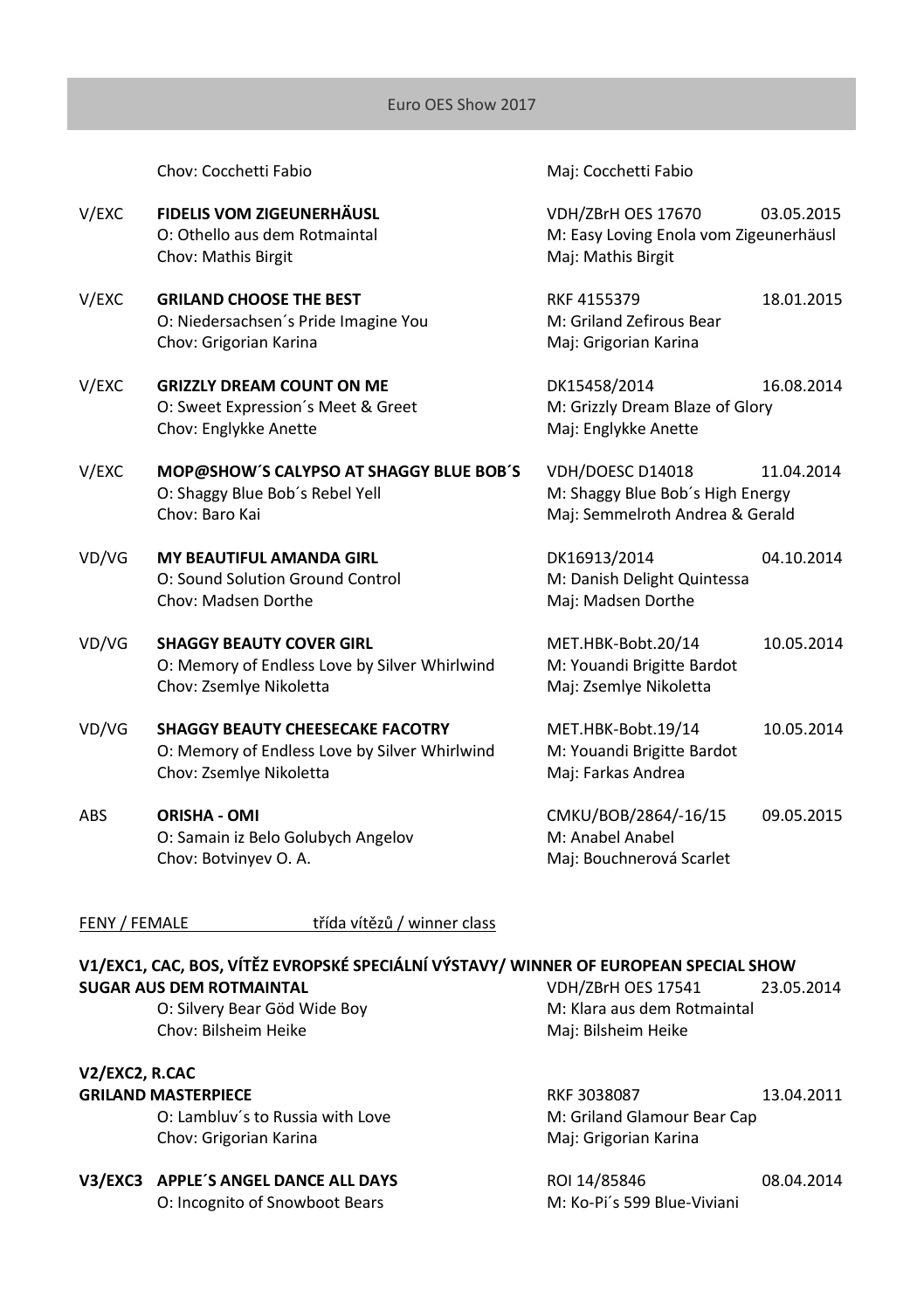Chov: Cocchetti Fabio Maj: Cocchetti Fabio

- V/EXC **FIDELIS VOM ZIGEUNERHÄUSL** VDH/ZBrH OES 17670 03.05.2015 Chov: Mathis Birgit Maj: Maj: Mathis Birgit
- V/EXC **GRILAND CHOOSE THE BEST** REF 4155379 **RKF 4155379** 18.01.2015<br>O: Niedersachsen's Pride Imagine You **M: Griland Zefirous Bear** O: Niedersachsen's Pride Imagine You Chov: Grigorian Karina Maj: Grigorian Karina
- V/EXC **GRIZZLY DREAM COUNT ON ME** DK15458/2014 16.08.2014 O: Sweet Expression's Meet & Greet M: Grizzly Dream Blaze of Glory Chov: Englykke Anette Maj: Englykke Anette
- V/EXC **MOP@SHOW´S CALYPSO AT SHAGGY BLUE BOB´S** VDH/DOESC D14018 11.04.2014 O: Shaggy Blue Bob's Rebel Yell M: Shaggy Blue Bob's High Energy Chov: Baro Kai Maj: Semmelroth Andrea & Gerald
- VD/VG **MY BEAUTIFUL AMANDA GIRL** DK16913/2014 04.10.2014 O: Sound Solution Ground Control **M: Danish Delight Quintessa** Chov: Madsen Dorthe Maj: Madsen Dorthe Maj: Madsen Dorthe
- VD/VG **SHAGGY BEAUTY COVER GIRL** MET.HBK-Bobt.20/14 10.05.2014 O: Memory of Endless Love by Silver Whirlwind M: Youandi Brigitte Bardot Chov: Zsemlye Nikoletta Maj: Zsemlye Nikoletta
- VD/VG **SHAGGY BEAUTY CHEESECAKE FACOTRY** MET.HBK-Bobt.19/14 10.05.2014 O: Memory of Endless Love by Silver Whirlwind M: Youandi Brigitte Bardot Chov: Zsemlye Nikoletta Maj: Farkas Andrea
- ABS **ORISHA - OMI** CMKU/BOB/2864/-16/15 09.05.2015 O: Samain iz Belo Golubych Angelov M: Anabel Anabel Chov: Botvinyev O. A. Maj: Bouchnerová Scarlet

O: Othello aus dem Rotmaintal M: Easy Loving Enola vom Zigeunerhäusl

FENY / FEMALE třída vítězů / winner class

## **V1/EXC1, CAC, BOS, VÍTĚZ EVROPSKÉ SPECIÁLNÍ VÝSTAVY/ WINNER OF EUROPEAN SPECIAL SHOW SUGAR AUS DEM ROTMAINTAL** VDH/ZBrH OES 17541 23.05.2014

Chov: Bilsheim Heike Maj: Bilsheim Heike

# **V2/EXC2, R.CAC**

O: Lambluv's to Russia with Love M: Griland Glamour Bear Cap Chov: Grigorian Karina Maj: Grigorian Karina

## **V3/EXC3 APPLE'S ANGEL DANCE ALL DAYS** ROL 14/85846 08.04.2014

O: Incognito of Snowboot Bears M: Ko-Pi's 599 Blue-Viviani

O: Silvery Bear Göd Wide Boy **M: Klara aus dem Rotmaintal** 

**GRILAND MASTERPIECE** 2008020087 213.04.2011